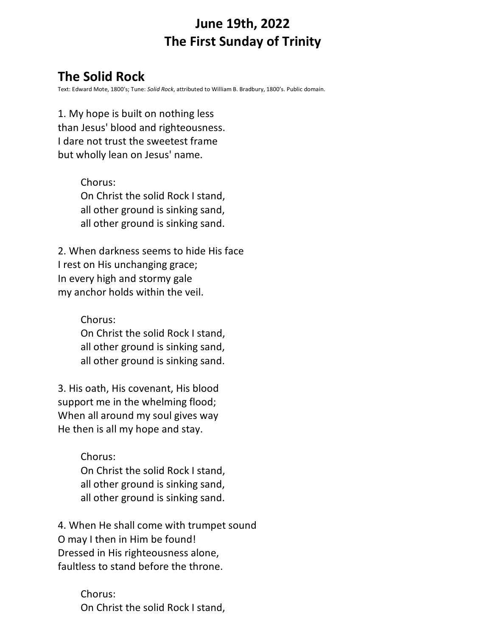# **June 19th, 2022 The First Sunday of Trinity**

## **The Solid Rock**

Text: Edward Mote, 1800's; Tune: *Solid Rock*, attributed to William B. Bradbury, 1800's. Public domain.

1. My hope is built on nothing less than Jesus' blood and righteousness. I dare not trust the sweetest frame but wholly lean on Jesus' name.

> Chorus: On Christ the solid Rock I stand, all other ground is sinking sand, all other ground is sinking sand.

2. When darkness seems to hide His face I rest on His unchanging grace; In every high and stormy gale my anchor holds within the veil.

> Chorus: On Christ the solid Rock I stand, all other ground is sinking sand, all other ground is sinking sand.

3. His oath, His covenant, His blood support me in the whelming flood; When all around my soul gives way He then is all my hope and stay.

> Chorus: On Christ the solid Rock I stand, all other ground is sinking sand, all other ground is sinking sand.

4. When He shall come with trumpet sound O may I then in Him be found! Dressed in His righteousness alone, faultless to stand before the throne.

> Chorus: On Christ the solid Rock I stand,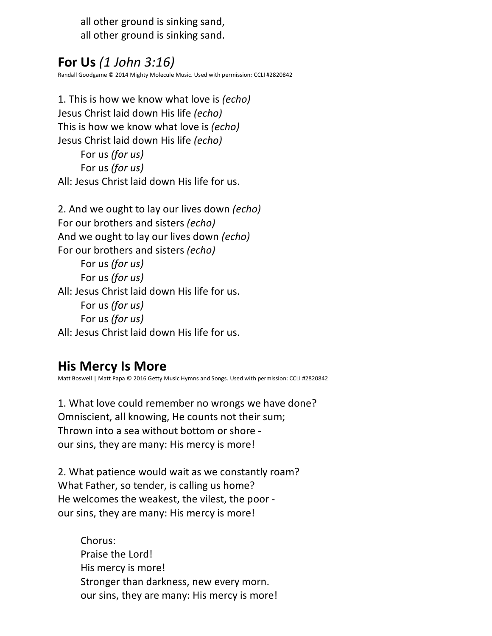all other ground is sinking sand, all other ground is sinking sand.

## **For Us** *(1 John 3:16)*

Randall Goodgame © 2014 Mighty Molecule Music. Used with permission: CCLI #2820842

1. This is how we know what love is *(echo)* Jesus Christ laid down His life *(echo)* This is how we know what love is *(echo)* Jesus Christ laid down His life *(echo)*

For us *(for us)* For us *(for us)* All: Jesus Christ laid down His life for us.

2. And we ought to lay our lives down *(echo)* For our brothers and sisters *(echo)* And we ought to lay our lives down *(echo)* For our brothers and sisters *(echo)* For us *(for us)* For us *(for us)* All: Jesus Christ laid down His life for us. For us *(for us)* For us *(for us)* All: Jesus Christ laid down His life for us.

### **His Mercy Is More**

Matt Boswell | Matt Papa © 2016 Getty Music Hymns and Songs. Used with permission: CCLI #2820842

1. What love could remember no wrongs we have done? Omniscient, all knowing, He counts not their sum; Thrown into a sea without bottom or shore our sins, they are many: His mercy is more!

2. What patience would wait as we constantly roam? What Father, so tender, is calling us home? He welcomes the weakest, the vilest, the poor our sins, they are many: His mercy is more!

Chorus: Praise the Lord! His mercy is more! Stronger than darkness, new every morn. our sins, they are many: His mercy is more!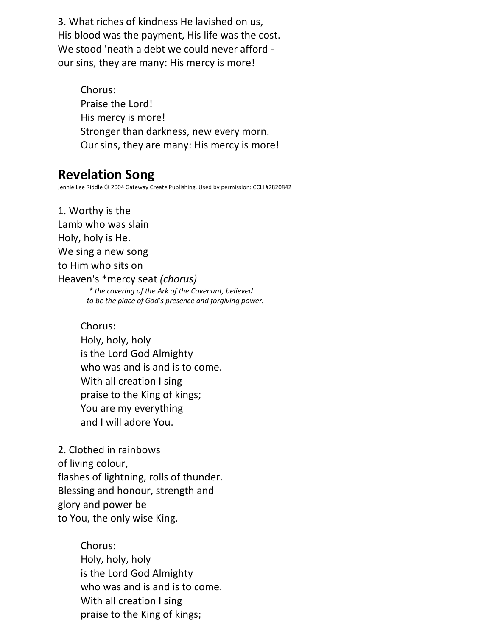3. What riches of kindness He lavished on us, His blood was the payment, His life was the cost. We stood 'neath a debt we could never afford our sins, they are many: His mercy is more!

Chorus: Praise the Lord! His mercy is more! Stronger than darkness, new every morn. Our sins, they are many: His mercy is more!

### **Revelation Song**

Jennie Lee Riddle © 2004 Gateway Create Publishing. Used by permission: CCLI #2820842

1. Worthy is the Lamb who was slain Holy, holy is He. We sing a new song to Him who sits on Heaven's \*mercy seat *(chorus) \* the covering of the Ark of the Covenant, believed to be the place of God's presence and forgiving power.* 

> Chorus: Holy, holy, holy is the Lord God Almighty who was and is and is to come. With all creation I sing praise to the King of kings; You are my everything and I will adore You.

2. Clothed in rainbows of living colour, flashes of lightning, rolls of thunder. Blessing and honour, strength and glory and power be to You, the only wise King.

> Chorus: Holy, holy, holy is the Lord God Almighty who was and is and is to come. With all creation I sing praise to the King of kings;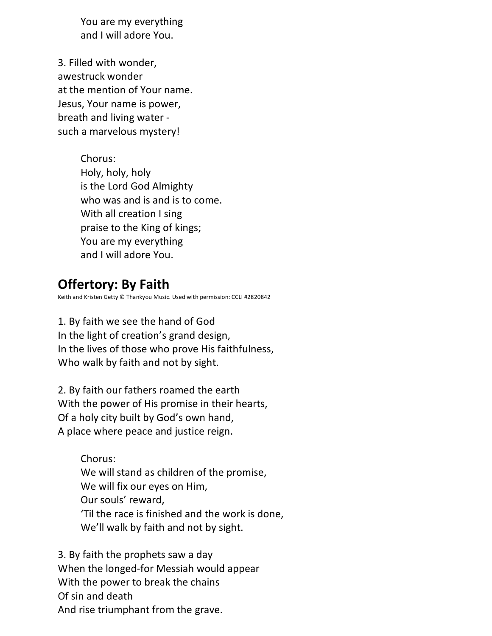You are my everything and I will adore You.

3. Filled with wonder, awestruck wonder at the mention of Your name. Jesus, Your name is power, breath and living water such a marvelous mystery!

> Chorus: Holy, holy, holy is the Lord God Almighty who was and is and is to come. With all creation I sing praise to the King of kings; You are my everything and I will adore You.

# **Offertory: By Faith**

Keith and Kristen Getty © Thankyou Music. Used with permission: CCLI #2820842

1. By faith we see the hand of God In the light of creation's grand design, In the lives of those who prove His faithfulness, Who walk by faith and not by sight.

2. By faith our fathers roamed the earth With the power of His promise in their hearts, Of a holy city built by God's own hand, A place where peace and justice reign.

> Chorus: We will stand as children of the promise, We will fix our eyes on Him, Our souls' reward, 'Til the race is finished and the work is done, We'll walk by faith and not by sight.

3. By faith the prophets saw a day When the longed-for Messiah would appear With the power to break the chains Of sin and death And rise triumphant from the grave.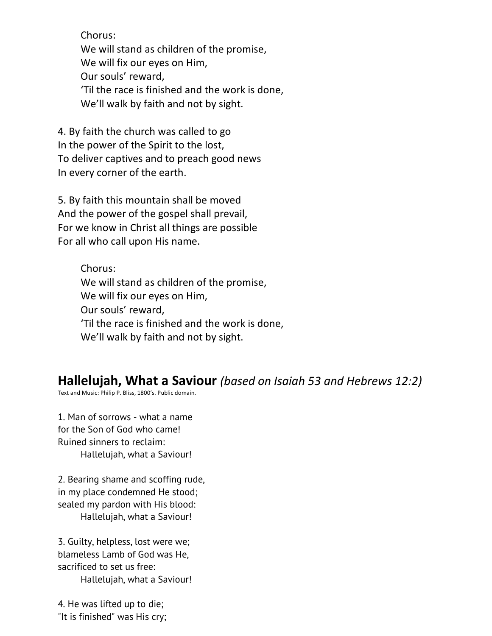Chorus: We will stand as children of the promise, We will fix our eyes on Him, Our souls' reward, 'Til the race is finished and the work is done, We'll walk by faith and not by sight.

4. By faith the church was called to go In the power of the Spirit to the lost, To deliver captives and to preach good news In every corner of the earth.

5. By faith this mountain shall be moved And the power of the gospel shall prevail, For we know in Christ all things are possible For all who call upon His name.

> Chorus: We will stand as children of the promise, We will fix our eyes on Him, Our souls' reward, 'Til the race is finished and the work is done, We'll walk by faith and not by sight.

### **Hallelujah, What a Saviour** *(based on Isaiah 53 and Hebrews 12:2)*

Text and Music: Philip P. Bliss, 1800's. Public domain.

1. Man of sorrows - what a name for the Son of God who came! Ruined sinners to reclaim: Hallelujah, what a Saviour!

2. Bearing shame and scoffing rude, in my place condemned He stood; sealed my pardon with His blood: Hallelujah, what a Saviour!

3. Guilty, helpless, lost were we; blameless Lamb of God was He, sacrificed to set us free: Hallelujah, what a Saviour!

4. He was lifted up to die; "It is finished" was His cry;